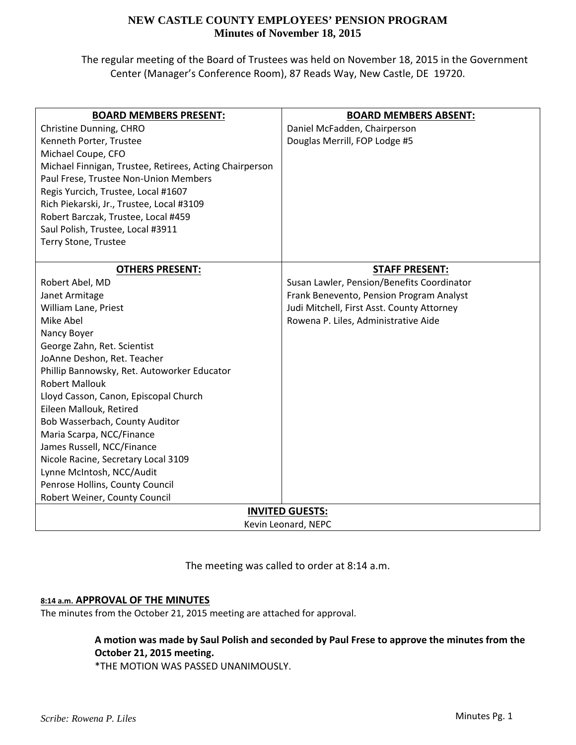The regular meeting of the Board of Trustees was held on November 18, 2015 in the Government Center (Manager's Conference Room), 87 Reads Way, New Castle, DE 19720.

| <b>BOARD MEMBERS PRESENT:</b>                           | <b>BOARD MEMBERS ABSENT:</b>               |  |  |  |
|---------------------------------------------------------|--------------------------------------------|--|--|--|
| Christine Dunning, CHRO                                 | Daniel McFadden, Chairperson               |  |  |  |
| Kenneth Porter, Trustee                                 | Douglas Merrill, FOP Lodge #5              |  |  |  |
| Michael Coupe, CFO                                      |                                            |  |  |  |
| Michael Finnigan, Trustee, Retirees, Acting Chairperson |                                            |  |  |  |
| Paul Frese, Trustee Non-Union Members                   |                                            |  |  |  |
| Regis Yurcich, Trustee, Local #1607                     |                                            |  |  |  |
| Rich Piekarski, Jr., Trustee, Local #3109               |                                            |  |  |  |
| Robert Barczak, Trustee, Local #459                     |                                            |  |  |  |
| Saul Polish, Trustee, Local #3911                       |                                            |  |  |  |
| Terry Stone, Trustee                                    |                                            |  |  |  |
|                                                         |                                            |  |  |  |
| <b>OTHERS PRESENT:</b>                                  | <b>STAFF PRESENT:</b>                      |  |  |  |
| Robert Abel, MD                                         | Susan Lawler, Pension/Benefits Coordinator |  |  |  |
| Janet Armitage                                          | Frank Benevento, Pension Program Analyst   |  |  |  |
| William Lane, Priest                                    | Judi Mitchell, First Asst. County Attorney |  |  |  |
| Mike Abel                                               | Rowena P. Liles, Administrative Aide       |  |  |  |
| Nancy Boyer                                             |                                            |  |  |  |
| George Zahn, Ret. Scientist                             |                                            |  |  |  |
| JoAnne Deshon, Ret. Teacher                             |                                            |  |  |  |
| Phillip Bannowsky, Ret. Autoworker Educator             |                                            |  |  |  |
| <b>Robert Mallouk</b>                                   |                                            |  |  |  |
| Lloyd Casson, Canon, Episcopal Church                   |                                            |  |  |  |
| Eileen Mallouk, Retired                                 |                                            |  |  |  |
| Bob Wasserbach, County Auditor                          |                                            |  |  |  |
| Maria Scarpa, NCC/Finance                               |                                            |  |  |  |
| James Russell, NCC/Finance                              |                                            |  |  |  |
| Nicole Racine, Secretary Local 3109                     |                                            |  |  |  |
| Lynne McIntosh, NCC/Audit                               |                                            |  |  |  |
| Penrose Hollins, County Council                         |                                            |  |  |  |
| Robert Weiner, County Council                           |                                            |  |  |  |
| <b>INVITED GUESTS:</b>                                  |                                            |  |  |  |
| Kevin Leonard, NEPC                                     |                                            |  |  |  |

The meeting was called to order at 8:14 a.m.

## **8:14 a.m. APPROVAL OF THE MINUTES**

The minutes from the October 21, 2015 meeting are attached for approval.

**A motion was made by Saul Polish and seconded by Paul Frese to approve the minutes from the October 21, 2015 meeting.**

\*THE MOTION WAS PASSED UNANIMOUSLY.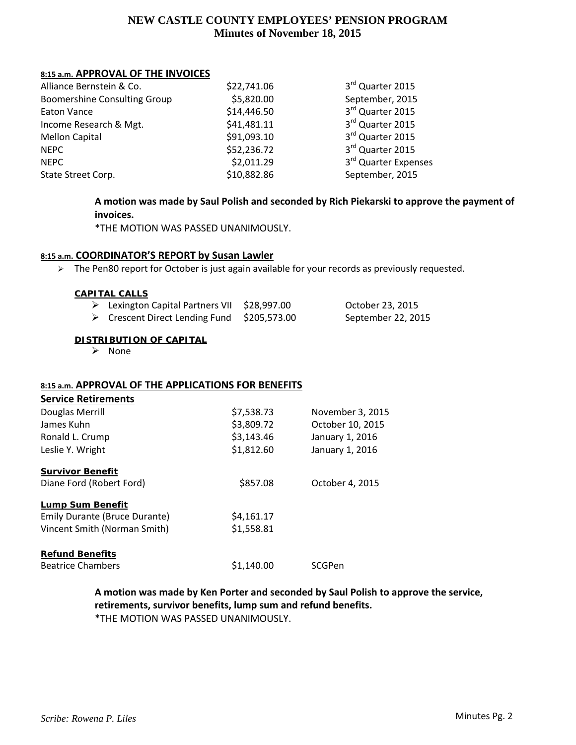## **8:15 a.m. APPROVAL OF THE INVOICES**

| Alliance Bernstein & Co.            | \$22,741.06 | 3rd Quarter 2015     |
|-------------------------------------|-------------|----------------------|
| <b>Boomershine Consulting Group</b> | \$5,820.00  | September, 2015      |
| Eaton Vance                         | \$14,446.50 | 3rd Quarter 2015     |
| Income Research & Mgt.              | \$41,481.11 | 3rd Quarter 2015     |
| <b>Mellon Capital</b>               | \$91,093.10 | 3rd Quarter 2015     |
| <b>NEPC</b>                         | \$52,236.72 | 3rd Quarter 2015     |
| <b>NEPC</b>                         | \$2,011.29  | 3rd Quarter Expenses |
| State Street Corp.                  | \$10,882.86 | September, 2015      |

# **A motion was made by Saul Polish and seconded by Rich Piekarski to approve the payment of invoices.**

\*THE MOTION WAS PASSED UNANIMOUSLY.

## **8:15 a.m. COORDINATOR'S REPORT by Susan Lawler**

> The Pen80 report for October is just again available for your records as previously requested.

#### **CAPITAL CALLS**

| $\triangleright$ Lexington Capital Partners VII | \$28,997.00  | October 23, 2015   |
|-------------------------------------------------|--------------|--------------------|
| $\triangleright$ Crescent Direct Lending Fund   | \$205,573.00 | September 22, 2015 |

#### **DISTRIBUTION OF CAPITAL**

 $\triangleright$  None

## **8:15 a.m. APPROVAL OF THE APPLICATIONS FOR BENEFITS**

| <b>Service Retirements</b>    |            |                  |
|-------------------------------|------------|------------------|
| Douglas Merrill               | \$7,538.73 | November 3, 2015 |
| James Kuhn                    | \$3,809.72 | October 10, 2015 |
| Ronald L. Crump               | \$3,143.46 | January 1, 2016  |
| Leslie Y. Wright              | \$1,812.60 | January 1, 2016  |
| <b>Survivor Benefit</b>       |            |                  |
| Diane Ford (Robert Ford)      | \$857.08   | October 4, 2015  |
| Lump Sum Benefit              |            |                  |
| Emily Durante (Bruce Durante) | \$4,161.17 |                  |
| Vincent Smith (Norman Smith)  | \$1,558.81 |                  |
| <b>Refund Benefits</b>        |            |                  |
| <b>Beatrice Chambers</b>      | \$1,140.00 | SCGPen           |

# **A motion was made by Ken Porter and seconded by Saul Polish to approve the service, retirements, survivor benefits, lump sum and refund benefits.**

\*THE MOTION WAS PASSED UNANIMOUSLY.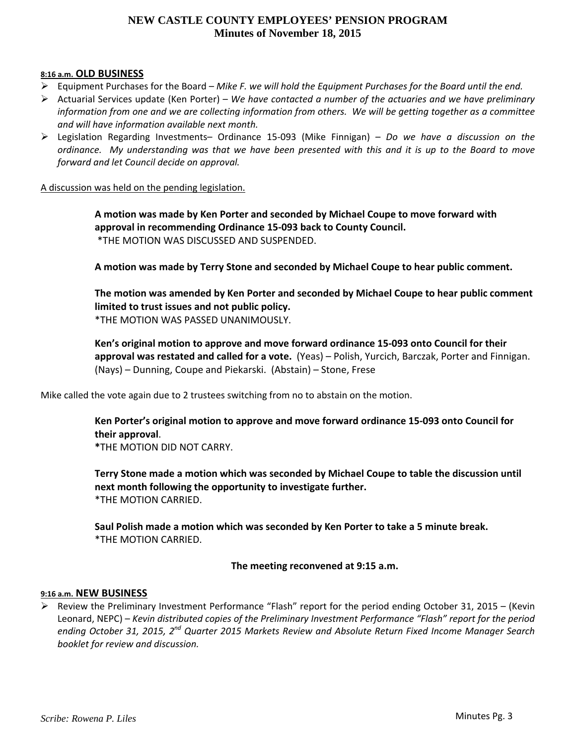### **8:16 a.m. OLD BUSINESS**

- Equipment Purchases for the Board *Mike F. we will hold the Equipment Purchases for the Board until the end.*
- Actuarial Services update (Ken Porter) *We have contacted a number of the actuaries and we have preliminary* information from one and we are collecting information from others. We will be getting together as a committee *and will have information available next month.*
- Legislation Regarding Investments– Ordinance 15‐093 (Mike Finnigan) *Do we have a discussion on the* ordinance. My understanding was that we have been presented with this and it is up to the Board to move *forward and let Council decide on approval.*

#### A discussion was held on the pending legislation.

**A motion was made by Ken Porter and seconded by Michael Coupe to move forward with approval in recommending Ordinance 15‐093 back to County Council.** \*THE MOTION WAS DISCUSSED AND SUSPENDED.

**A motion was made by Terry Stone and seconded by Michael Coupe to hear public comment.**

**The motion was amended by Ken Porter and seconded by Michael Coupe to hear public comment limited to trust issues and not public policy.** \*THE MOTION WAS PASSED UNANIMOUSLY.

**Ken's original motion to approve and move forward ordinance 15‐093 onto Council for their approval was restated and called for a vote.** (Yeas) – Polish, Yurcich, Barczak, Porter and Finnigan. (Nays) – Dunning, Coupe and Piekarski. (Abstain) – Stone, Frese

Mike called the vote again due to 2 trustees switching from no to abstain on the motion.

**Ken Porter's original motion to approve and move forward ordinance 15‐093 onto Council for their approval**. **\***THE MOTION DID NOT CARRY.

**Terry Stone made a motion which was seconded by Michael Coupe to table the discussion until next month following the opportunity to investigate further.**  \*THE MOTION CARRIED.

**Saul Polish made a motion which was seconded by Ken Porter to take a 5 minute break.** \*THE MOTION CARRIED.

## **The meeting reconvened at 9:15 a.m.**

#### **9:16 a.m. NEW BUSINESS**

 $\triangleright$  Review the Preliminary Investment Performance "Flash" report for the period ending October 31, 2015 – (Kevin Leonard, NEPC) – *Kevin distributed copies of the Preliminary Investment Performance "Flash" report for the period ending October 31, 2015, 2nd Quarter 2015 Markets Review and Absolute Return Fixed Income Manager Search booklet for review and discussion.*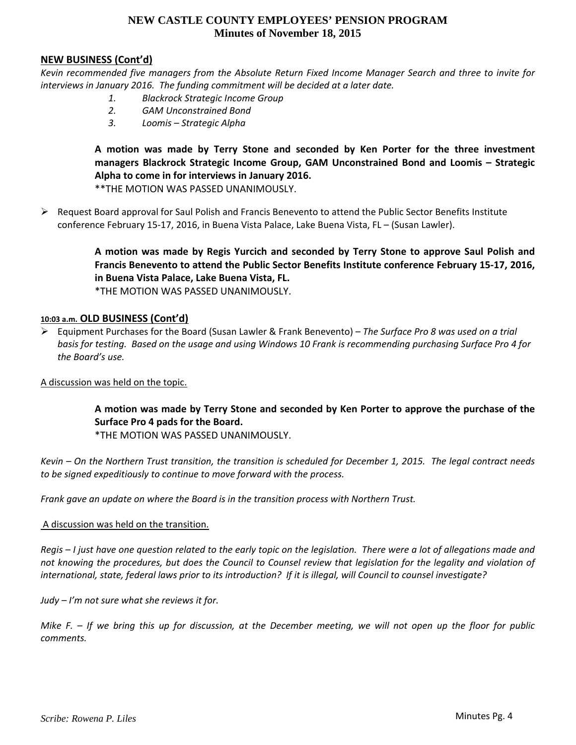## **NEW BUSINESS (Cont'd)**

Kevin recommended five managers from the Absolute Return Fixed Income Manager Search and three to invite for *interviews in January 2016. The funding commitment will be decided at a later date.*

- *1. Blackrock Strategic Income Group*
- *2. GAM Unconstrained Bond*
- *3. Loomis – Strategic Alpha*

**A motion was made by Terry Stone and seconded by Ken Porter for the three investment managers Blackrock Strategic Income Group, GAM Unconstrained Bond and Loomis – Strategic Alpha to come in for interviews in January 2016.**

\*\*THE MOTION WAS PASSED UNANIMOUSLY.

 $\triangleright$  Request Board approval for Saul Polish and Francis Benevento to attend the Public Sector Benefits Institute conference February 15‐17, 2016, in Buena Vista Palace, Lake Buena Vista, FL – (Susan Lawler).

> **A motion was made by Regis Yurcich and seconded by Terry Stone to approve Saul Polish and Francis Benevento to attend the Public Sector Benefits Institute conference February 15‐17, 2016, in Buena Vista Palace, Lake Buena Vista, FL.**

\*THE MOTION WAS PASSED UNANIMOUSLY.

## **10:03 a.m. OLD BUSINESS (Cont'd)**

 Equipment Purchases for the Board (Susan Lawler & Frank Benevento) – *The Surface Pro 8 was used on a trial* basis for testing. Based on the usage and using Windows 10 Frank is recommending purchasing Surface Pro 4 for *the Board's use.*

A discussion was held on the topic.

**A motion was made by Terry Stone and seconded by Ken Porter to approve the purchase of the Surface Pro 4 pads for the Board.**

\*THE MOTION WAS PASSED UNANIMOUSLY.

Kevin – On the Northern Trust transition, the transition is scheduled for December 1, 2015. The legal contract needs *to be signed expeditiously to continue to move forward with the process.*

*Frank gave an update on where the Board is in the transition process with Northern Trust.*

#### A discussion was held on the transition.

Regis – I just have one question related to the early topic on the legislation. There were a lot of allegations made and not knowing the procedures, but does the Council to Counsel review that legislation for the legality and violation of international, state, federal laws prior to its introduction? If it is illegal, will Council to counsel investigate?

*Judy – I'm not sure what she reviews it for.*

Mike F.  $-$  If we bring this up for discussion, at the December meeting, we will not open up the floor for public *comments.*